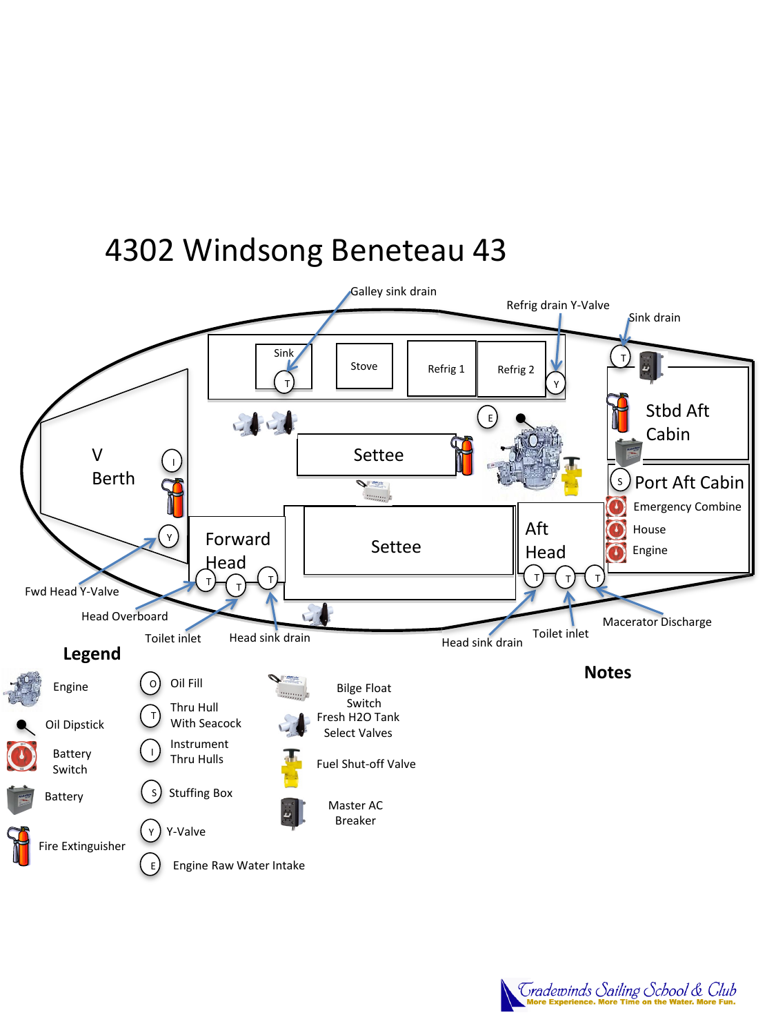### 4302 Windsong Beneteau 43



Tradewinds Sailing School & Club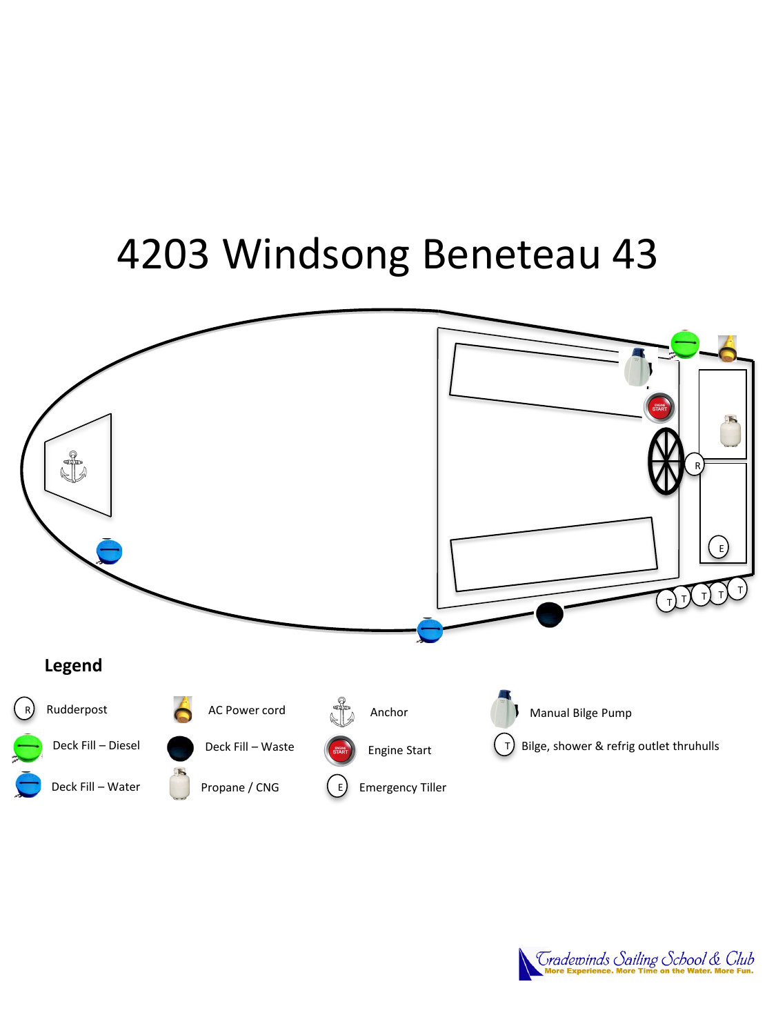# 4203 Windsong Beneteau 43



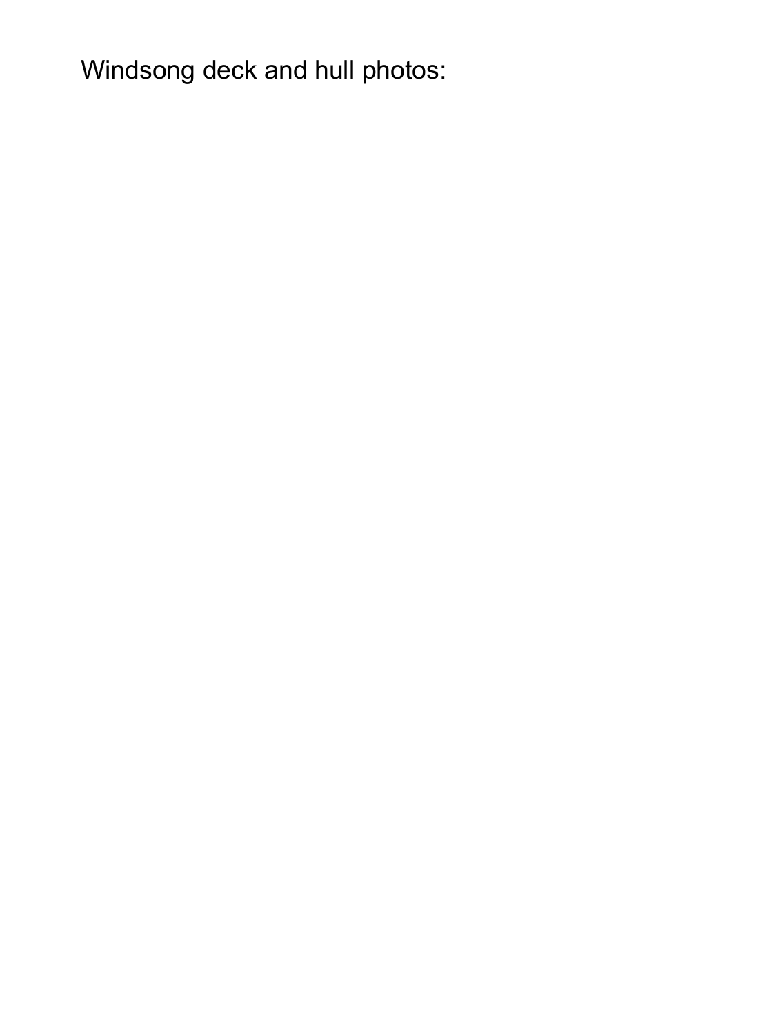Windsong deck and hull photos: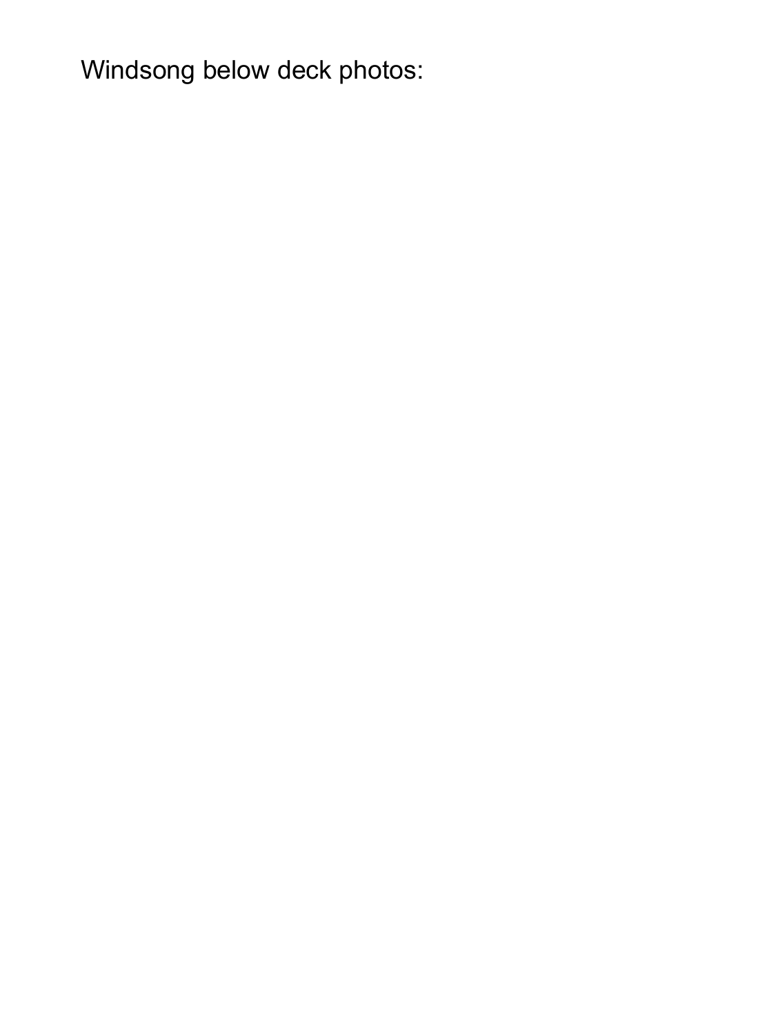Windsong below deck photos: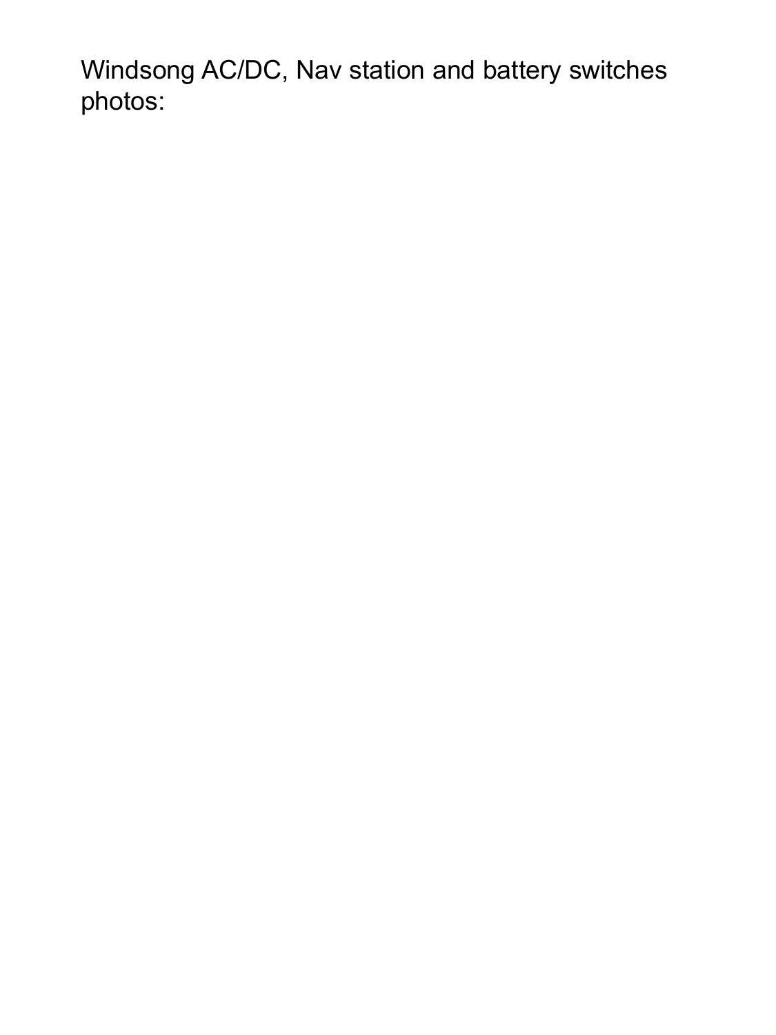Windsong AC/DC, Nav station and battery switches photos: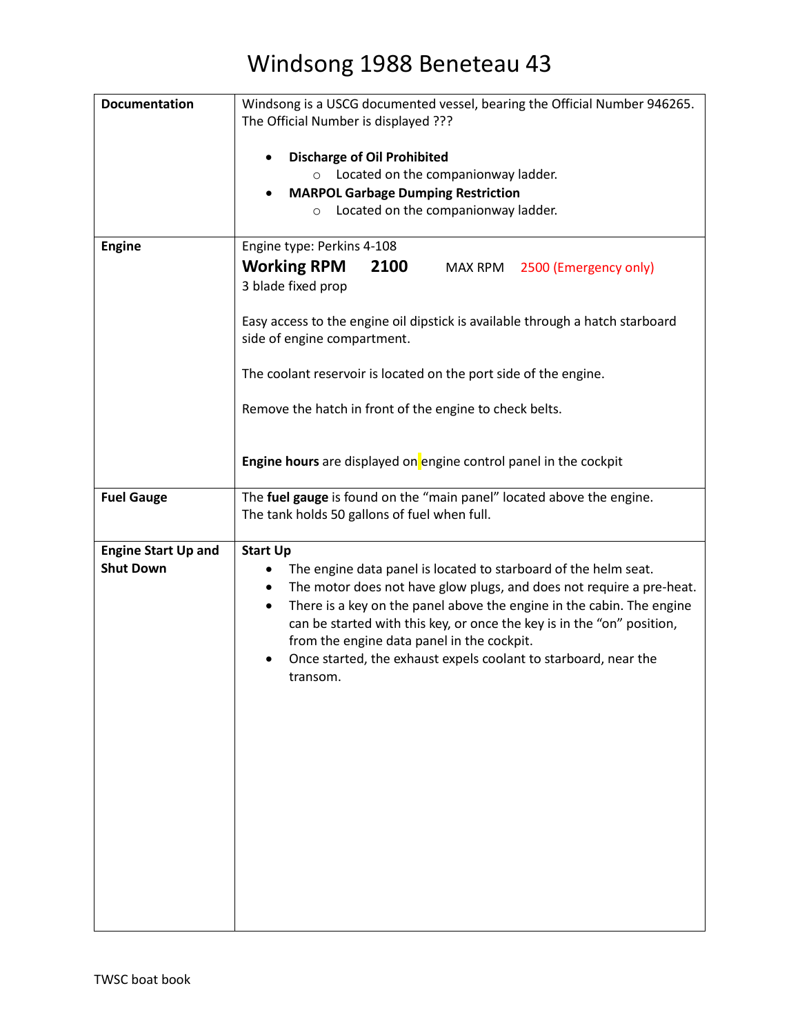| <b>Documentation</b>                           | Windsong is a USCG documented vessel, bearing the Official Number 946265.<br>The Official Number is displayed ???                                                                                                                                                                                                                                                                                                                                    |
|------------------------------------------------|------------------------------------------------------------------------------------------------------------------------------------------------------------------------------------------------------------------------------------------------------------------------------------------------------------------------------------------------------------------------------------------------------------------------------------------------------|
|                                                |                                                                                                                                                                                                                                                                                                                                                                                                                                                      |
|                                                | <b>Discharge of Oil Prohibited</b>                                                                                                                                                                                                                                                                                                                                                                                                                   |
|                                                | Located on the companionway ladder.<br>$\circ$<br><b>MARPOL Garbage Dumping Restriction</b><br>$\bullet$                                                                                                                                                                                                                                                                                                                                             |
|                                                | Located on the companionway ladder.<br>$\circ$                                                                                                                                                                                                                                                                                                                                                                                                       |
|                                                |                                                                                                                                                                                                                                                                                                                                                                                                                                                      |
| <b>Engine</b>                                  | Engine type: Perkins 4-108<br><b>Working RPM</b><br>2100<br>MAX RPM<br>2500 (Emergency only)<br>3 blade fixed prop                                                                                                                                                                                                                                                                                                                                   |
|                                                | Easy access to the engine oil dipstick is available through a hatch starboard<br>side of engine compartment.                                                                                                                                                                                                                                                                                                                                         |
|                                                | The coolant reservoir is located on the port side of the engine.                                                                                                                                                                                                                                                                                                                                                                                     |
|                                                | Remove the hatch in front of the engine to check belts.                                                                                                                                                                                                                                                                                                                                                                                              |
|                                                | Engine hours are displayed on engine control panel in the cockpit                                                                                                                                                                                                                                                                                                                                                                                    |
| <b>Fuel Gauge</b>                              | The fuel gauge is found on the "main panel" located above the engine.<br>The tank holds 50 gallons of fuel when full.                                                                                                                                                                                                                                                                                                                                |
| <b>Engine Start Up and</b><br><b>Shut Down</b> | <b>Start Up</b><br>The engine data panel is located to starboard of the helm seat.<br>The motor does not have glow plugs, and does not require a pre-heat.<br>٠<br>There is a key on the panel above the engine in the cabin. The engine<br>٠<br>can be started with this key, or once the key is in the "on" position,<br>from the engine data panel in the cockpit.<br>Once started, the exhaust expels coolant to starboard, near the<br>transom. |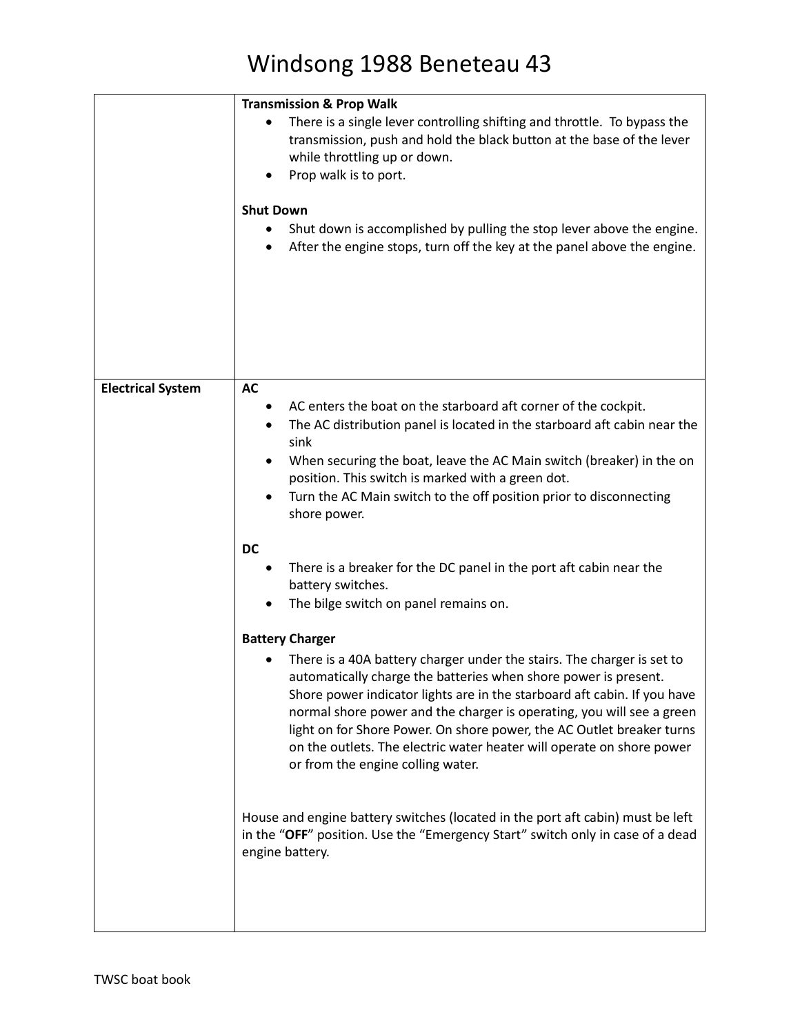|                          | <b>Transmission &amp; Prop Walk</b>                                                                                                                                                                                                                                                                                                                                                                                                                                                   |
|--------------------------|---------------------------------------------------------------------------------------------------------------------------------------------------------------------------------------------------------------------------------------------------------------------------------------------------------------------------------------------------------------------------------------------------------------------------------------------------------------------------------------|
|                          | There is a single lever controlling shifting and throttle. To bypass the<br>transmission, push and hold the black button at the base of the lever<br>while throttling up or down.<br>Prop walk is to port.                                                                                                                                                                                                                                                                            |
|                          |                                                                                                                                                                                                                                                                                                                                                                                                                                                                                       |
|                          | <b>Shut Down</b>                                                                                                                                                                                                                                                                                                                                                                                                                                                                      |
|                          | Shut down is accomplished by pulling the stop lever above the engine.<br>After the engine stops, turn off the key at the panel above the engine.                                                                                                                                                                                                                                                                                                                                      |
| <b>Electrical System</b> | <b>AC</b>                                                                                                                                                                                                                                                                                                                                                                                                                                                                             |
|                          | AC enters the boat on the starboard aft corner of the cockpit.                                                                                                                                                                                                                                                                                                                                                                                                                        |
|                          | The AC distribution panel is located in the starboard aft cabin near the<br>٠                                                                                                                                                                                                                                                                                                                                                                                                         |
|                          | sink                                                                                                                                                                                                                                                                                                                                                                                                                                                                                  |
|                          | When securing the boat, leave the AC Main switch (breaker) in the on<br>٠                                                                                                                                                                                                                                                                                                                                                                                                             |
|                          | position. This switch is marked with a green dot.                                                                                                                                                                                                                                                                                                                                                                                                                                     |
|                          | Turn the AC Main switch to the off position prior to disconnecting<br>shore power.                                                                                                                                                                                                                                                                                                                                                                                                    |
|                          | <b>DC</b>                                                                                                                                                                                                                                                                                                                                                                                                                                                                             |
|                          | There is a breaker for the DC panel in the port aft cabin near the<br>battery switches.                                                                                                                                                                                                                                                                                                                                                                                               |
|                          | The bilge switch on panel remains on.                                                                                                                                                                                                                                                                                                                                                                                                                                                 |
|                          | <b>Battery Charger</b>                                                                                                                                                                                                                                                                                                                                                                                                                                                                |
|                          | There is a 40A battery charger under the stairs. The charger is set to<br>automatically charge the batteries when shore power is present.<br>Shore power indicator lights are in the starboard aft cabin. If you have<br>normal shore power and the charger is operating, you will see a green<br>light on for Shore Power. On shore power, the AC Outlet breaker turns<br>on the outlets. The electric water heater will operate on shore power<br>or from the engine colling water. |
|                          | House and engine battery switches (located in the port aft cabin) must be left<br>in the "OFF" position. Use the "Emergency Start" switch only in case of a dead<br>engine battery.                                                                                                                                                                                                                                                                                                   |
|                          |                                                                                                                                                                                                                                                                                                                                                                                                                                                                                       |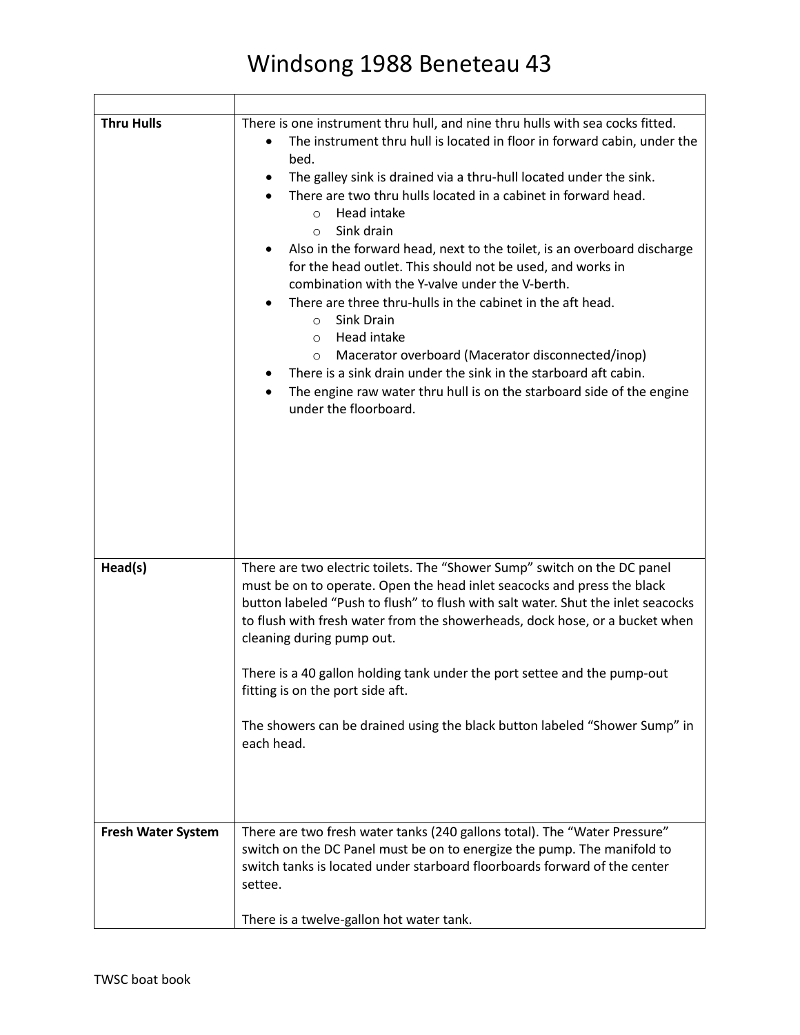٦

| <b>Thru Hulls</b>  | There is one instrument thru hull, and nine thru hulls with sea cocks fitted.<br>The instrument thru hull is located in floor in forward cabin, under the<br>bed.<br>The galley sink is drained via a thru-hull located under the sink.<br>٠<br>There are two thru hulls located in a cabinet in forward head.<br>Head intake<br>$\circ$<br>Sink drain<br>$\circ$<br>Also in the forward head, next to the toilet, is an overboard discharge<br>for the head outlet. This should not be used, and works in<br>combination with the Y-valve under the V-berth.<br>There are three thru-hulls in the cabinet in the aft head.<br>Sink Drain<br>$\circ$<br>Head intake<br>$\circ$<br>Macerator overboard (Macerator disconnected/inop)<br>$\circ$<br>There is a sink drain under the sink in the starboard aft cabin.<br>The engine raw water thru hull is on the starboard side of the engine<br>under the floorboard. |
|--------------------|----------------------------------------------------------------------------------------------------------------------------------------------------------------------------------------------------------------------------------------------------------------------------------------------------------------------------------------------------------------------------------------------------------------------------------------------------------------------------------------------------------------------------------------------------------------------------------------------------------------------------------------------------------------------------------------------------------------------------------------------------------------------------------------------------------------------------------------------------------------------------------------------------------------------|
| Head(s)            | There are two electric toilets. The "Shower Sump" switch on the DC panel<br>must be on to operate. Open the head inlet seacocks and press the black<br>button labeled "Push to flush" to flush with salt water. Shut the inlet seacocks<br>to flush with fresh water from the showerheads, dock hose, or a bucket when<br>cleaning during pump out.<br>There is a 40 gallon holding tank under the port settee and the pump-out<br>fitting is on the port side aft.<br>The showers can be drained using the black button labeled "Shower Sump" in<br>each head.                                                                                                                                                                                                                                                                                                                                                      |
| Fresh Water System | There are two fresh water tanks (240 gallons total). The "Water Pressure"<br>switch on the DC Panel must be on to energize the pump. The manifold to<br>switch tanks is located under starboard floorboards forward of the center<br>settee.<br>There is a twelve-gallon hot water tank.                                                                                                                                                                                                                                                                                                                                                                                                                                                                                                                                                                                                                             |

Г

┱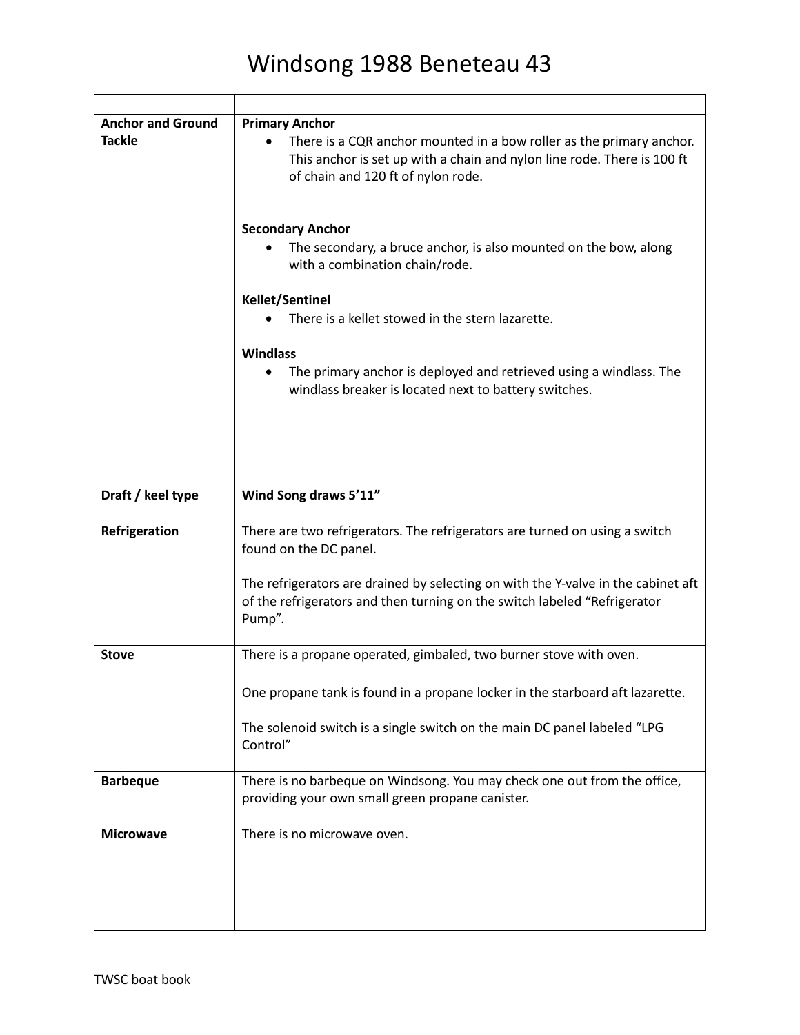| <b>Anchor and Ground</b><br><b>Tackle</b> | <b>Primary Anchor</b><br>There is a CQR anchor mounted in a bow roller as the primary anchor.<br>This anchor is set up with a chain and nylon line rode. There is 100 ft<br>of chain and 120 ft of nylon rode. |
|-------------------------------------------|----------------------------------------------------------------------------------------------------------------------------------------------------------------------------------------------------------------|
|                                           | <b>Secondary Anchor</b><br>The secondary, a bruce anchor, is also mounted on the bow, along<br>with a combination chain/rode.                                                                                  |
|                                           | Kellet/Sentinel<br>There is a kellet stowed in the stern lazarette.                                                                                                                                            |
|                                           | <b>Windlass</b><br>The primary anchor is deployed and retrieved using a windlass. The<br>windlass breaker is located next to battery switches.                                                                 |
| Draft / keel type                         | Wind Song draws 5'11"                                                                                                                                                                                          |
| Refrigeration                             | There are two refrigerators. The refrigerators are turned on using a switch<br>found on the DC panel.                                                                                                          |
|                                           | The refrigerators are drained by selecting on with the Y-valve in the cabinet aft<br>of the refrigerators and then turning on the switch labeled "Refrigerator<br>Pump".                                       |
| <b>Stove</b>                              | There is a propane operated, gimbaled, two burner stove with oven.                                                                                                                                             |
|                                           | One propane tank is found in a propane locker in the starboard aft lazarette.                                                                                                                                  |
|                                           | The solenoid switch is a single switch on the main DC panel labeled "LPG<br>Control"                                                                                                                           |
| <b>Barbeque</b>                           | There is no barbeque on Windsong. You may check one out from the office,<br>providing your own small green propane canister.                                                                                   |
| <b>Microwave</b>                          | There is no microwave oven.                                                                                                                                                                                    |